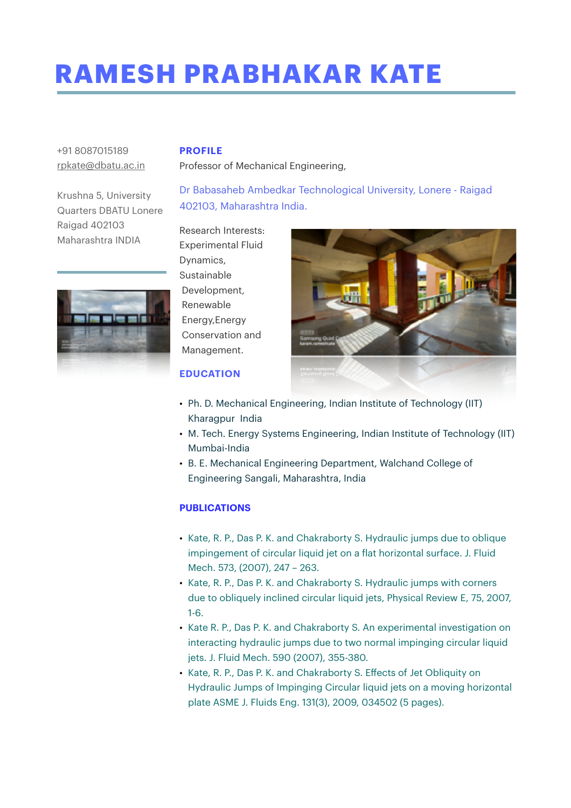## **RAMESH PRABHAKAR KATE**

Professor of Mechanical Engineering,

## +91 8087015189 [rpkate@dbatu.ac.in](mailto:rpkate@dbatu.ac.in)

Krushna 5, University Quarters DBATU Lonere Raigad 402103 Maharashtra INDIA





Research Interests: Experimental Fluid Dynamics, Sustainable Development, Renewable Energy,Energy Conservation and Management.

**PROFILE**



## **EDUCATION**

- Ph. D. Mechanical Engineering, Indian Institute of Technology (IIT) Kharagpur India
- M. Tech. Energy Systems Engineering, Indian Institute of Technology (IIT) Mumbai-India
- B. E. Mechanical Engineering Department, Walchand College of Engineering Sangali, Maharashtra, India

## **PUBLICATIONS**

- Kate, R. P., Das P. K. and Chakraborty S. Hydraulic jumps due to oblique impingement of circular liquid jet on a flat horizontal surface. J. Fluid Mech. 573, (2007), 247 – 263.
- Kate, R. P., Das P. K. and Chakraborty S. Hydraulic jumps with corners due to obliquely inclined circular liquid jets, Physical Review E, 75, 2007, 1-6.
- Kate R. P., Das P. K. and Chakraborty S. An experimental investigation on interacting hydraulic jumps due to two normal impinging circular liquid jets. J. Fluid Mech. 590 (2007), 355-380.
- Kate, R. P., Das P. K. and Chakraborty S. Effects of Jet Obliquity on Hydraulic Jumps of Impinging Circular liquid jets on a moving horizontal plate ASME J. Fluids Eng. 131(3), 2009, 034502 (5 pages).